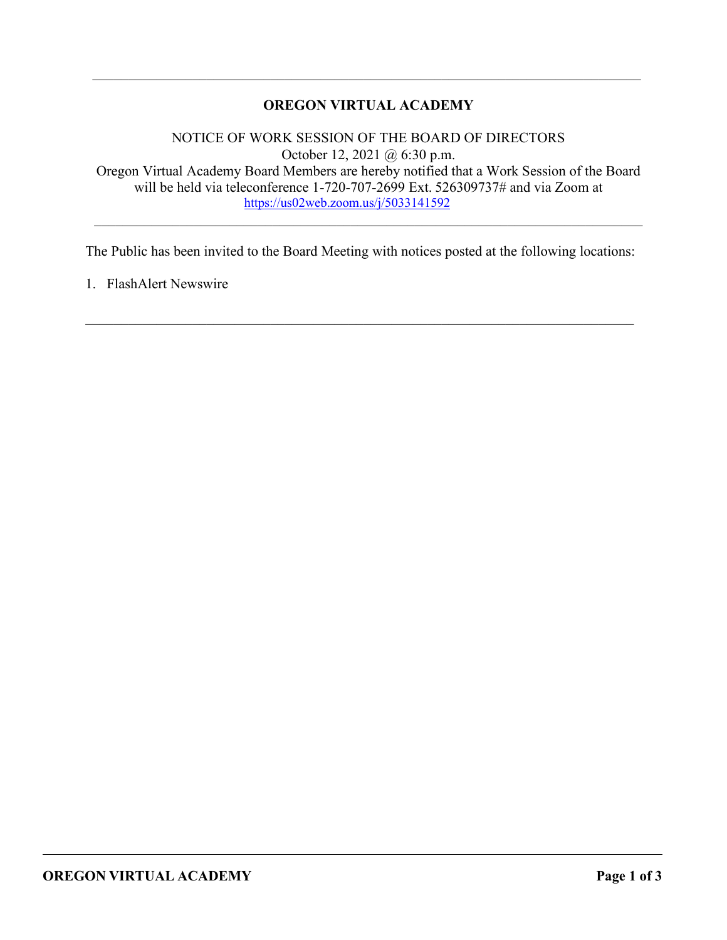# **OREGON VIRTUAL ACADEMY**

\_\_\_\_\_\_\_\_\_\_\_\_\_\_\_\_\_\_\_\_\_\_\_\_\_\_\_\_\_\_\_\_\_\_\_\_\_\_\_\_\_\_\_\_\_\_\_\_\_\_\_\_\_\_\_\_\_\_\_\_\_\_\_\_\_\_\_\_\_\_\_\_\_\_\_\_\_

NOTICE OF WORK SESSION OF THE BOARD OF DIRECTORS October 12, 2021 @ 6:30 p.m. Oregon Virtual Academy Board Members are hereby notified that a Work Session of the Board will be held via teleconference 1-720-707-2699 Ext. 526309737# and via Zoom at <https://us02web.zoom.us/j/5033141592>

\_\_\_\_\_\_\_\_\_\_\_\_\_\_\_\_\_\_\_\_\_\_\_\_\_\_\_\_\_\_\_\_\_\_\_\_\_\_\_\_\_\_\_\_\_\_\_\_\_\_\_\_\_\_\_\_\_\_\_\_\_\_\_\_\_\_\_\_\_\_\_\_\_\_\_\_\_

The Public has been invited to the Board Meeting with notices posted at the following locations:

 $\mathcal{L}_\mathcal{L} = \mathcal{L}_\mathcal{L} = \mathcal{L}_\mathcal{L} = \mathcal{L}_\mathcal{L} = \mathcal{L}_\mathcal{L} = \mathcal{L}_\mathcal{L} = \mathcal{L}_\mathcal{L} = \mathcal{L}_\mathcal{L} = \mathcal{L}_\mathcal{L} = \mathcal{L}_\mathcal{L} = \mathcal{L}_\mathcal{L} = \mathcal{L}_\mathcal{L} = \mathcal{L}_\mathcal{L} = \mathcal{L}_\mathcal{L} = \mathcal{L}_\mathcal{L} = \mathcal{L}_\mathcal{L} = \mathcal{L}_\mathcal{L}$ 

1. FlashAlert Newswire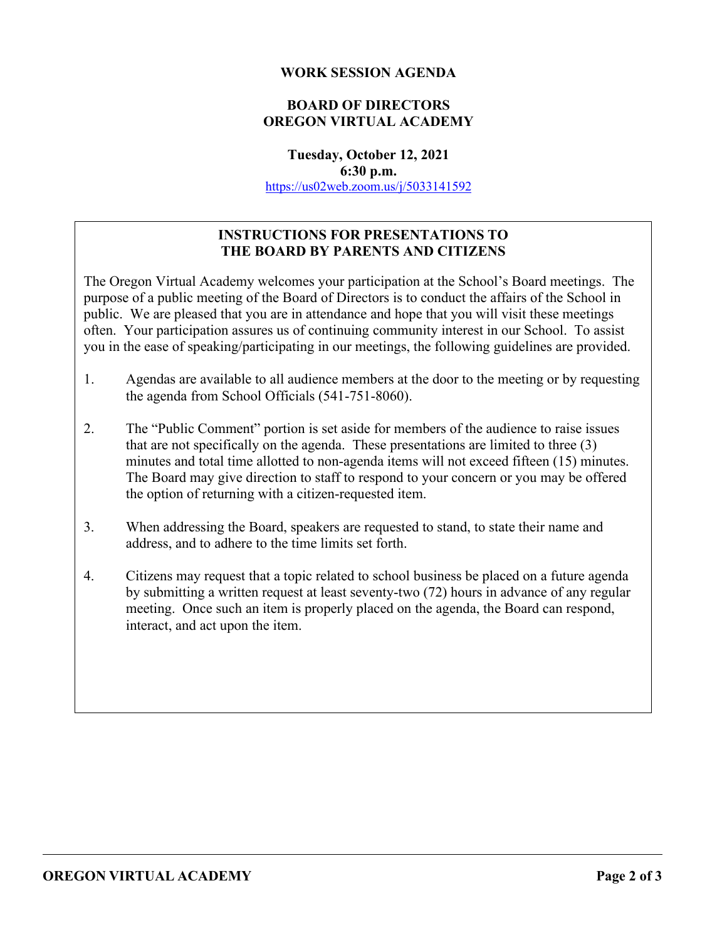### **WORK SESSION AGENDA**

# **BOARD OF DIRECTORS OREGON VIRTUAL ACADEMY**

**Tuesday, October 12, 2021 6:30 p.m.** <https://us02web.zoom.us/j/5033141592>

# **INSTRUCTIONS FOR PRESENTATIONS TO THE BOARD BY PARENTS AND CITIZENS**

The Oregon Virtual Academy welcomes your participation at the School's Board meetings. The purpose of a public meeting of the Board of Directors is to conduct the affairs of the School in public. We are pleased that you are in attendance and hope that you will visit these meetings often. Your participation assures us of continuing community interest in our School. To assist you in the ease of speaking/participating in our meetings, the following guidelines are provided.

- 1. Agendas are available to all audience members at the door to the meeting or by requesting the agenda from School Officials (541-751-8060).
- 2. The "Public Comment" portion is set aside for members of the audience to raise issues that are not specifically on the agenda. These presentations are limited to three (3) minutes and total time allotted to non-agenda items will not exceed fifteen (15) minutes. The Board may give direction to staff to respond to your concern or you may be offered the option of returning with a citizen-requested item.
- 3. When addressing the Board, speakers are requested to stand, to state their name and address, and to adhere to the time limits set forth.
- 4. Citizens may request that a topic related to school business be placed on a future agenda by submitting a written request at least seventy-two (72) hours in advance of any regular meeting. Once such an item is properly placed on the agenda, the Board can respond, interact, and act upon the item.